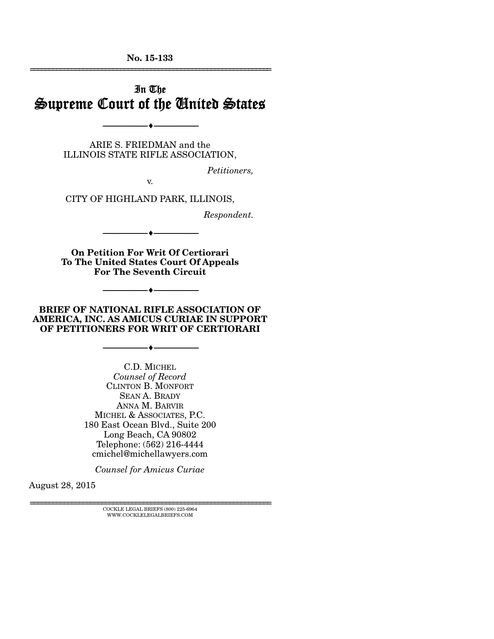**No. 15-133**  ================================================================

# In The Supreme Court of the United States

ARIE S. FRIEDMAN and the ILLINOIS STATE RIFLE ASSOCIATION,

--------------------------------- ---------------------------------

*Petitioners,* 

CITY OF HIGHLAND PARK, ILLINOIS,

v.

*Respondent.* 

**On Petition For Writ Of Certiorari To The United States Court Of Appeals For The Seventh Circuit** 

--------------------------------- ---------------------------------

--------------------------------- ---------------------------------

#### **BRIEF OF NATIONAL RIFLE ASSOCIATION OF AMERICA, INC. AS AMICUS CURIAE IN SUPPORT OF PETITIONERS FOR WRIT OF CERTIORARI**

--------------------------------- ---------------------------------

C.D. MICHEL *Counsel of Record* CLINTON B. MONFORT SEAN A. BRADY ANNA M. BARVIR MICHEL & ASSOCIATES, P.C. 180 East Ocean Blvd., Suite 200 Long Beach, CA 90802 Telephone: (562) 216-4444 cmichel@michellawyers.com

*Counsel for Amicus Curiae* 

August 28, 2015

 $\textsc{COCKLE}$  LEGAL BRIEFS (800) 225-6964 WWW.COCKLELEGALBRIEFS.COM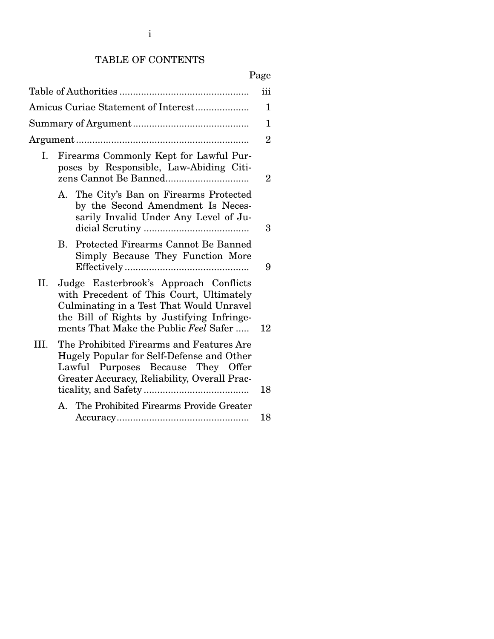# TABLE OF CONTENTS

# Page

|                                                                                                                                                                                                                              | iii            |
|------------------------------------------------------------------------------------------------------------------------------------------------------------------------------------------------------------------------------|----------------|
| Amicus Curiae Statement of Interest                                                                                                                                                                                          | 1              |
|                                                                                                                                                                                                                              | 1              |
|                                                                                                                                                                                                                              | $\overline{2}$ |
| Firearms Commonly Kept for Lawful Pur-<br>Ι.<br>poses by Responsible, Law-Abiding Citi-                                                                                                                                      | $\overline{2}$ |
| A. The City's Ban on Firearms Protected<br>by the Second Amendment Is Neces-<br>sarily Invalid Under Any Level of Ju-                                                                                                        | 3              |
| Protected Firearms Cannot Be Banned<br>B.<br>Simply Because They Function More                                                                                                                                               | 9              |
| II.<br>Judge Easterbrook's Approach Conflicts<br>with Precedent of This Court, Ultimately<br>Culminating in a Test That Would Unravel<br>the Bill of Rights by Justifying Infringe-<br>ments That Make the Public Feel Safer | 12             |
| The Prohibited Firearms and Features Are<br>III.<br>Hugely Popular for Self-Defense and Other<br>Lawful Purposes Because They Offer<br>Greater Accuracy, Reliability, Overall Prac-                                          | 18             |
| A. The Prohibited Firearms Provide Greater                                                                                                                                                                                   | 18             |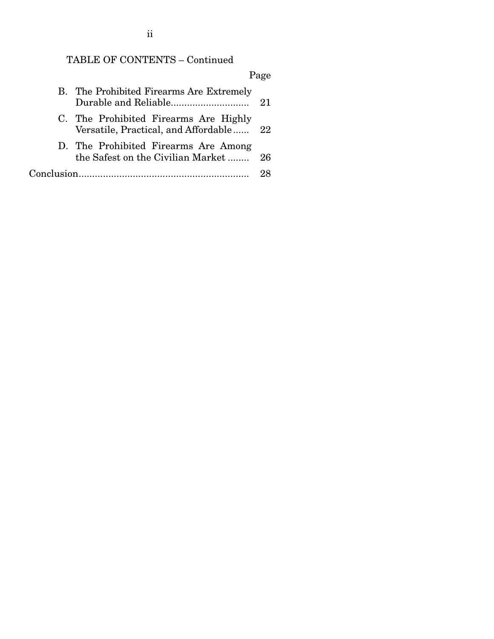# TABLE OF CONTENTS – Continued

|            |                                                                               | Page |
|------------|-------------------------------------------------------------------------------|------|
|            | B. The Prohibited Firearms Are Extremely                                      | 21   |
|            | C. The Prohibited Firearms Are Highly<br>Versatile, Practical, and Affordable | 22   |
|            | D. The Prohibited Firearms Are Among<br>the Safest on the Civilian Market     | 26   |
| Conclusion |                                                                               |      |

ii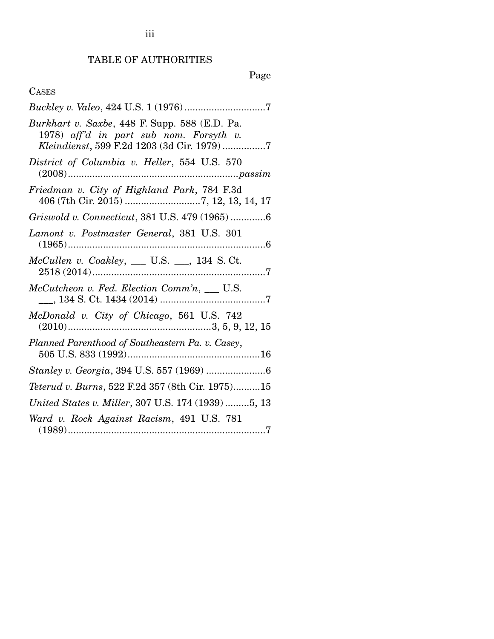TABLE OF AUTHORITIES

# Page

# CASES

| Burkhart v. Saxbe, 448 F. Supp. 588 (E.D. Pa.<br>1978) aff'd in part sub nom. Forsyth v.<br>Kleindienst, 599 F.2d 1203 (3d Cir. 1979)7 |
|----------------------------------------------------------------------------------------------------------------------------------------|
| District of Columbia v. Heller, 554 U.S. 570                                                                                           |
| Friedman v. City of Highland Park, 784 F.3d                                                                                            |
| Griswold v. Connecticut, 381 U.S. 479 (1965) 6                                                                                         |
| Lamont v. Postmaster General, 381 U.S. 301                                                                                             |
| $McCullen$ v. $Coakley$ , __ U.S. __, 134 S. Ct.                                                                                       |
| McCutcheon v. Fed. Election Comm'n, __ U.S.                                                                                            |
|                                                                                                                                        |
| Planned Parenthood of Southeastern Pa. v. Casey,                                                                                       |
|                                                                                                                                        |
| Teterud v. Burns, 522 F.2d 357 (8th Cir. 1975)15                                                                                       |
| United States v. Miller, 307 U.S. 174 (1939) 5, 13                                                                                     |
| Ward v. Rock Against Racism, 491 U.S. 781                                                                                              |

iii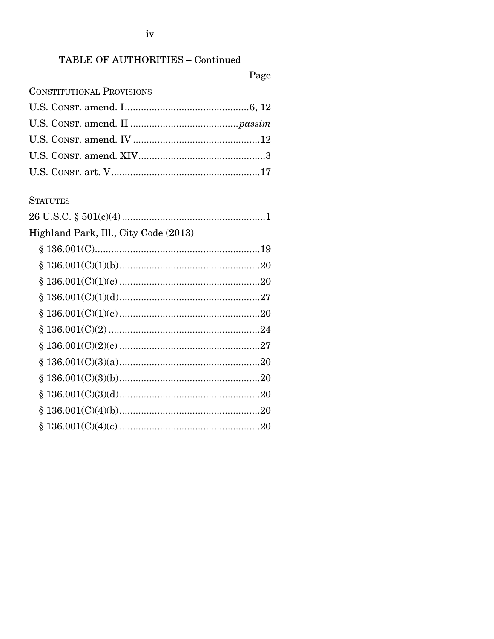$iv$ 

# TABLE OF AUTHORITIES - Continued

Page

## **CONSTITUTIONAL PROVISIONS**

### **STATUTES**

| Highland Park, Ill., City Code (2013) |  |
|---------------------------------------|--|
|                                       |  |
|                                       |  |
|                                       |  |
|                                       |  |
|                                       |  |
|                                       |  |
|                                       |  |
|                                       |  |
|                                       |  |
|                                       |  |
|                                       |  |
|                                       |  |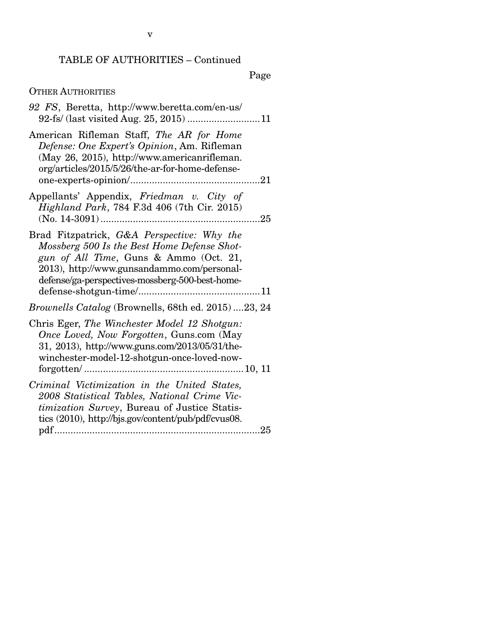Page

## OTHER AUTHORITIES

| 92 FS, Beretta, http://www.beretta.com/en-us/                                                                                                                                                                                         |
|---------------------------------------------------------------------------------------------------------------------------------------------------------------------------------------------------------------------------------------|
| American Rifleman Staff, The AR for Home<br>Defense: One Expert's Opinion, Am. Rifleman<br>(May 26, 2015), http://www.americanrifleman.<br>org/articles/2015/5/26/the-ar-for-home-defense-                                            |
| Appellants' Appendix, Friedman v. City of<br>Highland Park, 784 F.3d 406 (7th Cir. 2015)                                                                                                                                              |
| Brad Fitzpatrick, G&A Perspective: Why the<br>Mossberg 500 Is the Best Home Defense Shot-<br>gun of All Time, Guns & Ammo (Oct. 21,<br>2013), http://www.gunsandammo.com/personal-<br>defense/ga-perspectives-mossberg-500-best-home- |
| Brownells Catalog (Brownells, 68th ed. 2015)23, 24                                                                                                                                                                                    |
| Chris Eger, The Winchester Model 12 Shotgun:<br>Once Loved, Now Forgotten, Guns.com (May<br>31, 2013), http://www.guns.com/2013/05/31/the-<br>winchester-model-12-shotgun-once-loved-now-                                             |
| Criminal Victimization in the United States,<br>2008 Statistical Tables, National Crime Vic-<br>timization Survey, Bureau of Justice Statis-<br>tics (2010), http://bjs.gov/content/pub/pdf/cvus08.                                   |
|                                                                                                                                                                                                                                       |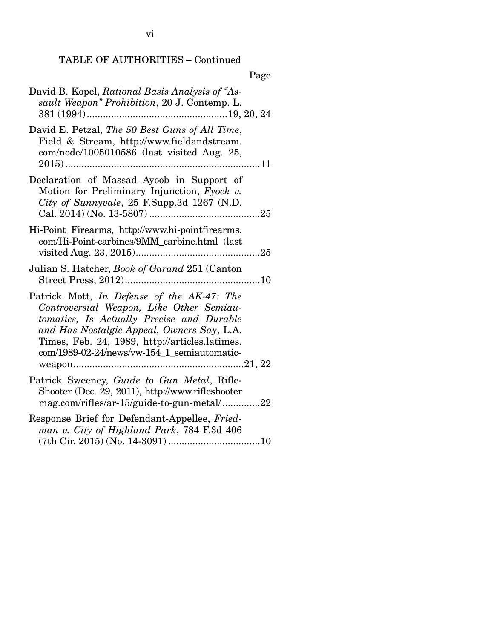vi

# TABLE OF AUTHORITIES – Continued

# Page

| David B. Kopel, Rational Basis Analysis of "As-<br>sault Weapon" Prohibition, 20 J. Contemp. L.                                                                                                                                                                                    |
|------------------------------------------------------------------------------------------------------------------------------------------------------------------------------------------------------------------------------------------------------------------------------------|
| David E. Petzal, The 50 Best Guns of All Time,<br>Field & Stream, http://www.fieldandstream.<br>com/node/1005010586 (last visited Aug. 25,                                                                                                                                         |
| Declaration of Massad Ayoob in Support of<br>Motion for Preliminary Injunction, Fyock v.<br>City of Sunnyvale, 25 F.Supp.3d 1267 (N.D.                                                                                                                                             |
| Hi-Point Firearms, http://www.hi-pointfirearms.<br>com/Hi-Point-carbines/9MM_carbine.html (last                                                                                                                                                                                    |
| Julian S. Hatcher, Book of Garand 251 (Canton                                                                                                                                                                                                                                      |
| Patrick Mott, In Defense of the AK-47: The<br>Controversial Weapon, Like Other Semiau-<br>tomatics, Is Actually Precise and Durable<br>and Has Nostalgic Appeal, Owners Say, L.A.<br>Times, Feb. 24, 1989, http://articles.latimes.<br>com/1989-02-24/news/vw-154_1_semiautomatic- |
| Patrick Sweeney, Guide to Gun Metal, Rifle-<br>Shooter (Dec. 29, 2011), http://www.rifleshooter<br>mag.com/rifles/ar-15/guide-to-gun-metal/22                                                                                                                                      |
| Response Brief for Defendant-Appellee, Fried-<br>man v. City of Highland Park, 784 F.3d 406                                                                                                                                                                                        |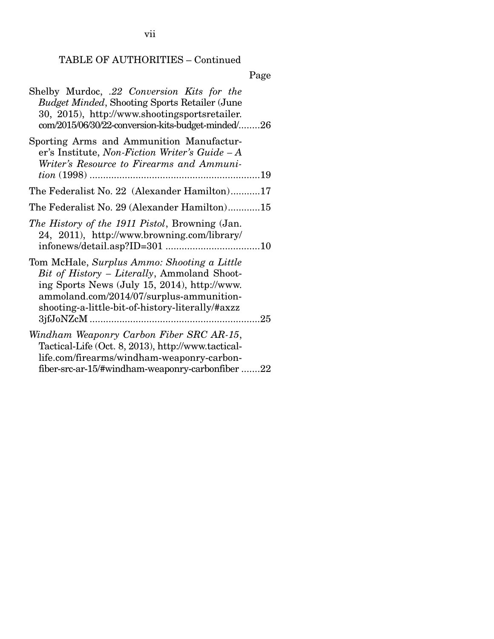TABLE OF AUTHORITIES – Continued

# Page

| Shelby Murdoc, .22 Conversion Kits for the<br><b>Budget Minded, Shooting Sports Retailer (June</b><br>30, 2015), http://www.shootingsportsretailer.<br>com/2015/06/30/22-conversion-kits-budget-minded/26                                  |
|--------------------------------------------------------------------------------------------------------------------------------------------------------------------------------------------------------------------------------------------|
| Sporting Arms and Ammunition Manufactur-<br>er's Institute, Non-Fiction Writer's Guide – A<br>Writer's Resource to Firearms and Ammuni-                                                                                                    |
| The Federalist No. 22 (Alexander Hamilton)17                                                                                                                                                                                               |
| The Federalist No. 29 (Alexander Hamilton)15                                                                                                                                                                                               |
| The History of the 1911 Pistol, Browning (Jan.<br>24, 2011), http://www.browning.com/library/                                                                                                                                              |
| Tom McHale, Surplus Ammo: Shooting a Little<br>Bit of History – Literally, Ammoland Shoot-<br>ing Sports News (July 15, 2014), http://www.<br>ammoland.com/2014/07/surplus-ammunition-<br>shooting-a-little-bit-of-history-literally/#axzz |
| Windham Weaponry Carbon Fiber SRC AR-15,<br>Tactical-Life (Oct. 8, 2013), http://www.tactical-<br>life.com/firearms/windham-weaponry-carbon-<br>fiber-src-ar-15/#windham-weaponry-carbonfiber 22                                           |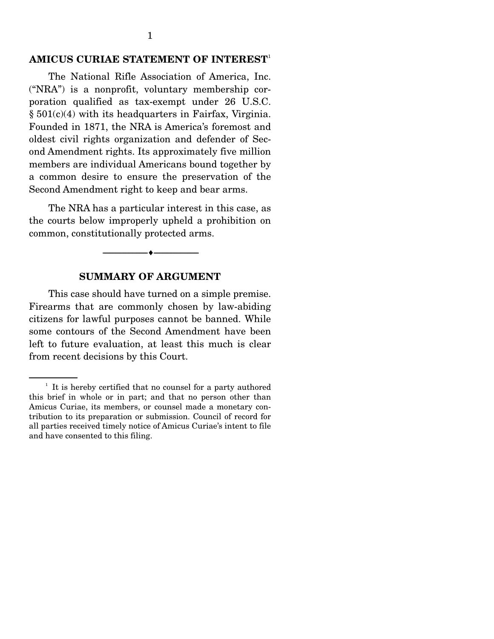#### **AMICUS CURIAE STATEMENT OF INTEREST**<sup>1</sup>

The National Rifle Association of America, Inc. ("NRA") is a nonprofit, voluntary membership corporation qualified as tax-exempt under 26 U.S.C.  $§ 501(c)(4)$  with its headquarters in Fairfax, Virginia. Founded in 1871, the NRA is America's foremost and oldest civil rights organization and defender of Second Amendment rights. Its approximately five million members are individual Americans bound together by a common desire to ensure the preservation of the Second Amendment right to keep and bear arms.

 The NRA has a particular interest in this case, as the courts below improperly upheld a prohibition on common, constitutionally protected arms.

#### **SUMMARY OF ARGUMENT**

--------------------------------- ---------------------------------

 This case should have turned on a simple premise. Firearms that are commonly chosen by law-abiding citizens for lawful purposes cannot be banned. While some contours of the Second Amendment have been left to future evaluation, at least this much is clear from recent decisions by this Court.

<sup>&</sup>lt;sup>1</sup> It is hereby certified that no counsel for a party authored this brief in whole or in part; and that no person other than Amicus Curiae, its members, or counsel made a monetary contribution to its preparation or submission. Council of record for all parties received timely notice of Amicus Curiae's intent to file and have consented to this filing.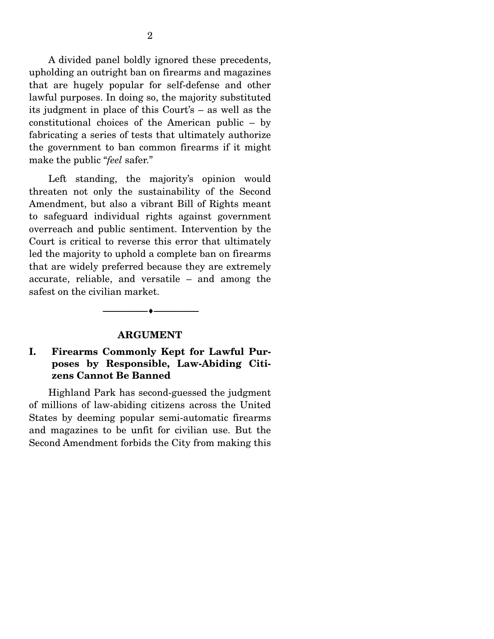A divided panel boldly ignored these precedents, upholding an outright ban on firearms and magazines that are hugely popular for self-defense and other lawful purposes. In doing so, the majority substituted its judgment in place of this Court's – as well as the constitutional choices of the American public – by fabricating a series of tests that ultimately authorize the government to ban common firearms if it might make the public "*feel* safer."

 Left standing, the majority's opinion would threaten not only the sustainability of the Second Amendment, but also a vibrant Bill of Rights meant to safeguard individual rights against government overreach and public sentiment. Intervention by the Court is critical to reverse this error that ultimately led the majority to uphold a complete ban on firearms that are widely preferred because they are extremely accurate, reliable, and versatile – and among the safest on the civilian market.

#### **ARGUMENT**

--------------------------------- ---------------------------------

#### **I. Firearms Commonly Kept for Lawful Purposes by Responsible, Law-Abiding Citizens Cannot Be Banned**

 Highland Park has second-guessed the judgment of millions of law-abiding citizens across the United States by deeming popular semi-automatic firearms and magazines to be unfit for civilian use. But the Second Amendment forbids the City from making this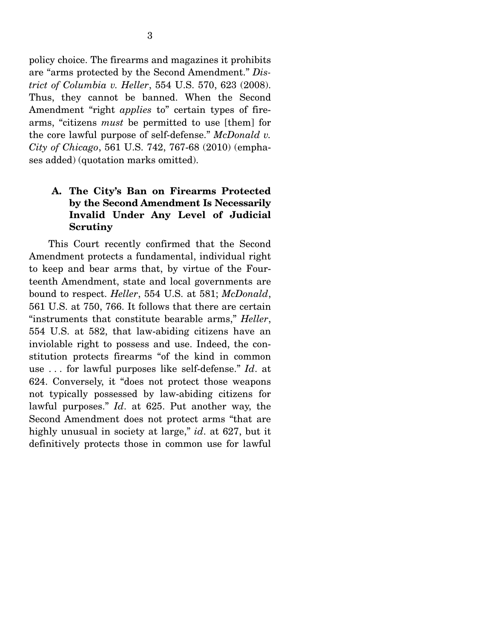policy choice. The firearms and magazines it prohibits are "arms protected by the Second Amendment." *District of Columbia v. Heller*, 554 U.S. 570, 623 (2008). Thus, they cannot be banned. When the Second Amendment "right *applies* to" certain types of firearms, "citizens *must* be permitted to use [them] for the core lawful purpose of self-defense." *McDonald v. City of Chicago*, 561 U.S. 742, 767-68 (2010) (emphases added) (quotation marks omitted).

### **A. The City's Ban on Firearms Protected by the Second Amendment Is Necessarily Invalid Under Any Level of Judicial Scrutiny**

 This Court recently confirmed that the Second Amendment protects a fundamental, individual right to keep and bear arms that, by virtue of the Fourteenth Amendment, state and local governments are bound to respect. *Heller*, 554 U.S. at 581; *McDonald*, 561 U.S. at 750, 766. It follows that there are certain "instruments that constitute bearable arms," *Heller*, 554 U.S. at 582, that law-abiding citizens have an inviolable right to possess and use. Indeed, the constitution protects firearms "of the kind in common use . . . for lawful purposes like self-defense." *Id*. at 624. Conversely, it "does not protect those weapons not typically possessed by law-abiding citizens for lawful purposes." *Id*. at 625. Put another way, the Second Amendment does not protect arms "that are highly unusual in society at large," *id*. at 627, but it definitively protects those in common use for lawful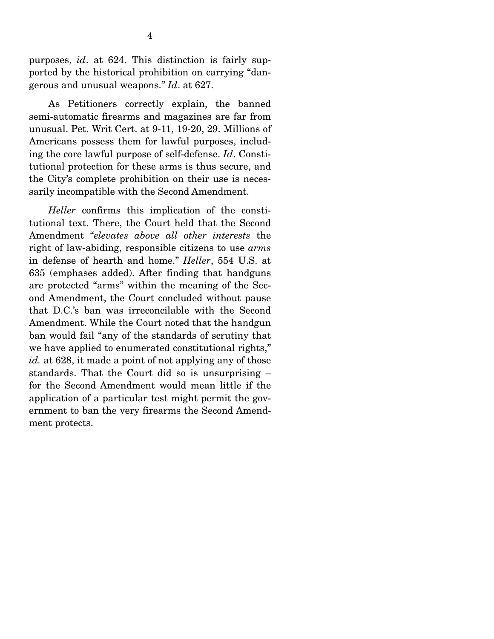purposes, *id*. at 624. This distinction is fairly supported by the historical prohibition on carrying "dangerous and unusual weapons." *Id*. at 627.

 As Petitioners correctly explain, the banned semi-automatic firearms and magazines are far from unusual. Pet. Writ Cert. at 9-11, 19-20, 29. Millions of Americans possess them for lawful purposes, including the core lawful purpose of self-defense. *Id*. Constitutional protection for these arms is thus secure, and the City's complete prohibition on their use is necessarily incompatible with the Second Amendment.

*Heller* confirms this implication of the constitutional text. There, the Court held that the Second Amendment "*elevates above all other interests* the right of law-abiding, responsible citizens to use *arms*  in defense of hearth and home." *Heller*, 554 U.S. at 635 (emphases added). After finding that handguns are protected "arms" within the meaning of the Second Amendment, the Court concluded without pause that D.C.'s ban was irreconcilable with the Second Amendment. While the Court noted that the handgun ban would fail "any of the standards of scrutiny that we have applied to enumerated constitutional rights," *id.* at 628, it made a point of not applying any of those standards. That the Court did so is unsurprising – for the Second Amendment would mean little if the application of a particular test might permit the government to ban the very firearms the Second Amendment protects.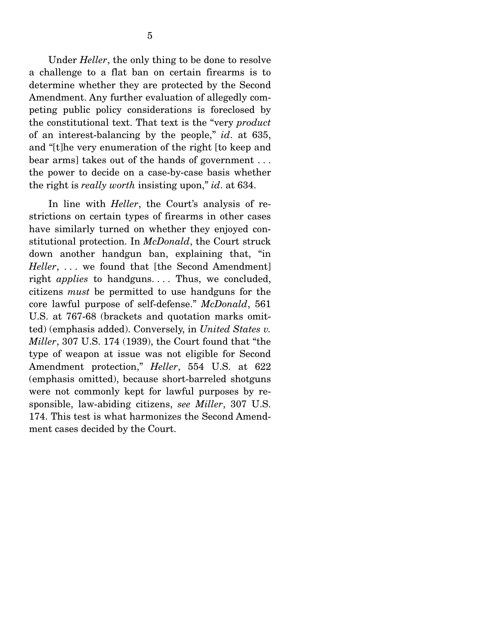Under *Heller*, the only thing to be done to resolve a challenge to a flat ban on certain firearms is to determine whether they are protected by the Second Amendment. Any further evaluation of allegedly competing public policy considerations is foreclosed by the constitutional text. That text is the "very *product*  of an interest-balancing by the people," *id*. at 635, and "[t]he very enumeration of the right [to keep and bear arms] takes out of the hands of government . . . the power to decide on a case-by-case basis whether the right is *really worth* insisting upon," *id*. at 634.

 In line with *Heller*, the Court's analysis of restrictions on certain types of firearms in other cases have similarly turned on whether they enjoyed constitutional protection. In *McDonald*, the Court struck down another handgun ban, explaining that, "in *Heller*, ... we found that [the Second Amendment] right *applies* to handguns.... Thus, we concluded, citizens *must* be permitted to use handguns for the core lawful purpose of self-defense." *McDonald*, 561 U.S. at 767-68 (brackets and quotation marks omitted) (emphasis added). Conversely, in *United States v. Miller*, 307 U.S. 174 (1939), the Court found that "the type of weapon at issue was not eligible for Second Amendment protection," *Heller*, 554 U.S. at 622 (emphasis omitted), because short-barreled shotguns were not commonly kept for lawful purposes by responsible, law-abiding citizens, *see Miller*, 307 U.S. 174. This test is what harmonizes the Second Amendment cases decided by the Court.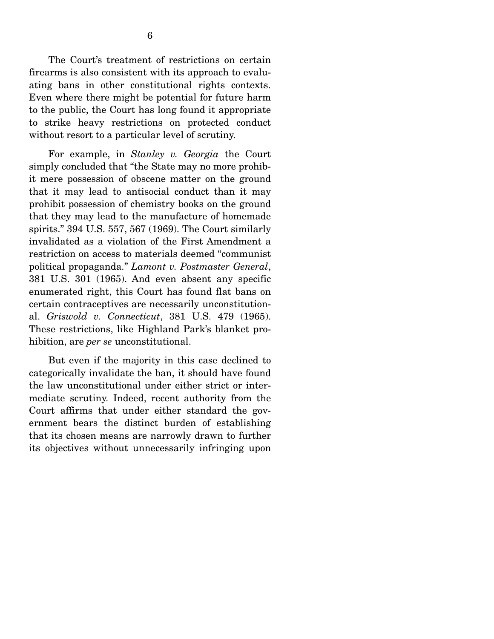The Court's treatment of restrictions on certain firearms is also consistent with its approach to evaluating bans in other constitutional rights contexts. Even where there might be potential for future harm to the public, the Court has long found it appropriate to strike heavy restrictions on protected conduct without resort to a particular level of scrutiny.

 For example, in *Stanley v. Georgia* the Court simply concluded that "the State may no more prohibit mere possession of obscene matter on the ground that it may lead to antisocial conduct than it may prohibit possession of chemistry books on the ground that they may lead to the manufacture of homemade spirits." 394 U.S. 557, 567 (1969). The Court similarly invalidated as a violation of the First Amendment a restriction on access to materials deemed "communist political propaganda." *Lamont v. Postmaster General*, 381 U.S. 301 (1965). And even absent any specific enumerated right, this Court has found flat bans on certain contraceptives are necessarily unconstitutional. *Griswold v. Connecticut*, 381 U.S. 479 (1965). These restrictions, like Highland Park's blanket prohibition, are *per se* unconstitutional.

 But even if the majority in this case declined to categorically invalidate the ban, it should have found the law unconstitutional under either strict or intermediate scrutiny. Indeed, recent authority from the Court affirms that under either standard the government bears the distinct burden of establishing that its chosen means are narrowly drawn to further its objectives without unnecessarily infringing upon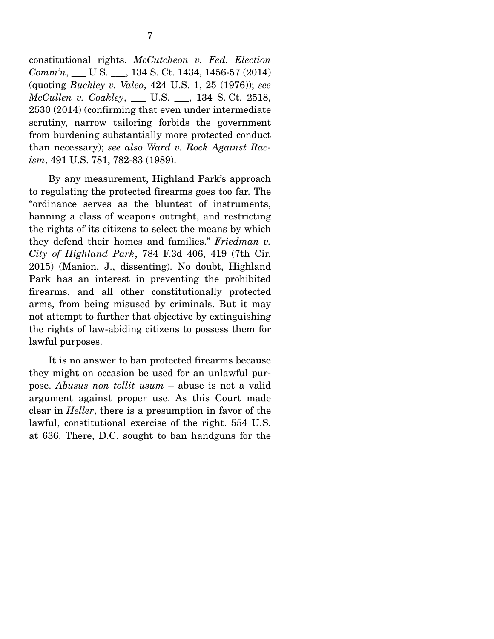constitutional rights. *McCutcheon v. Fed. Election Comm'n*, \_\_\_ U.S. \_\_\_, 134 S. Ct. 1434, 1456-57 (2014) (quoting *Buckley v. Valeo*, 424 U.S. 1, 25 (1976)); *see McCullen v. Coakley*, \_\_\_ U.S. \_\_\_, 134 S. Ct. 2518, 2530 (2014) (confirming that even under intermediate scrutiny, narrow tailoring forbids the government from burdening substantially more protected conduct than necessary); *see also Ward v. Rock Against Racism*, 491 U.S. 781, 782-83 (1989).

 By any measurement, Highland Park's approach to regulating the protected firearms goes too far. The "ordinance serves as the bluntest of instruments, banning a class of weapons outright, and restricting the rights of its citizens to select the means by which they defend their homes and families." *Friedman v. City of Highland Park*, 784 F.3d 406, 419 (7th Cir. 2015) (Manion, J., dissenting). No doubt, Highland Park has an interest in preventing the prohibited firearms, and all other constitutionally protected arms, from being misused by criminals. But it may not attempt to further that objective by extinguishing the rights of law-abiding citizens to possess them for lawful purposes.

 It is no answer to ban protected firearms because they might on occasion be used for an unlawful purpose. *Abusus non tollit usum* – abuse is not a valid argument against proper use. As this Court made clear in *Heller*, there is a presumption in favor of the lawful, constitutional exercise of the right. 554 U.S. at 636. There, D.C. sought to ban handguns for the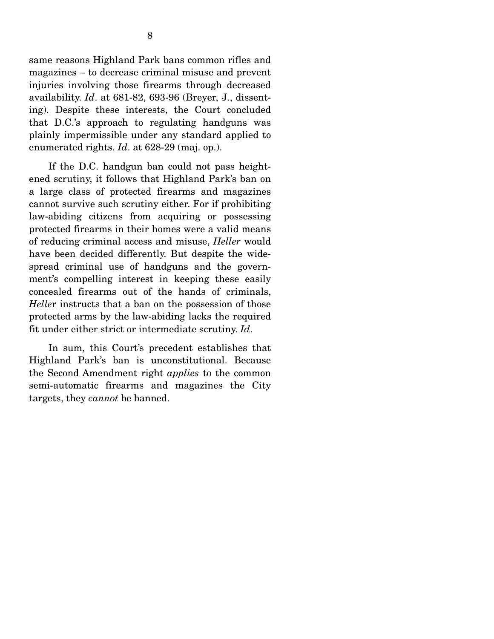same reasons Highland Park bans common rifles and magazines – to decrease criminal misuse and prevent injuries involving those firearms through decreased availability. *Id*. at 681-82, 693-96 (Breyer, J., dissenting). Despite these interests, the Court concluded that D.C.'s approach to regulating handguns was plainly impermissible under any standard applied to enumerated rights. *Id*. at 628-29 (maj. op.).

 If the D.C. handgun ban could not pass heightened scrutiny, it follows that Highland Park's ban on a large class of protected firearms and magazines cannot survive such scrutiny either. For if prohibiting law-abiding citizens from acquiring or possessing protected firearms in their homes were a valid means of reducing criminal access and misuse, *Heller* would have been decided differently. But despite the widespread criminal use of handguns and the government's compelling interest in keeping these easily concealed firearms out of the hands of criminals, *Helle*r instructs that a ban on the possession of those protected arms by the law-abiding lacks the required fit under either strict or intermediate scrutiny. *Id*.

 In sum, this Court's precedent establishes that Highland Park's ban is unconstitutional. Because the Second Amendment right *applies* to the common semi-automatic firearms and magazines the City targets, they *cannot* be banned.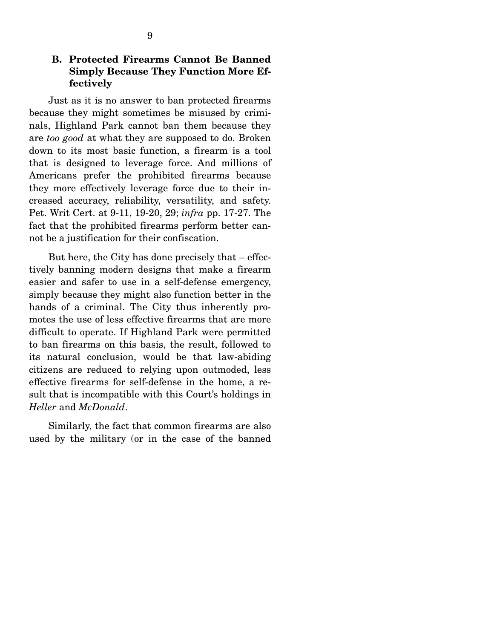#### **B. Protected Firearms Cannot Be Banned Simply Because They Function More Effectively**

 Just as it is no answer to ban protected firearms because they might sometimes be misused by criminals, Highland Park cannot ban them because they are *too good* at what they are supposed to do. Broken down to its most basic function, a firearm is a tool that is designed to leverage force. And millions of Americans prefer the prohibited firearms because they more effectively leverage force due to their increased accuracy, reliability, versatility, and safety. Pet. Writ Cert. at 9-11, 19-20, 29; *infra* pp. 17-27. The fact that the prohibited firearms perform better cannot be a justification for their confiscation.

 But here, the City has done precisely that – effectively banning modern designs that make a firearm easier and safer to use in a self-defense emergency, simply because they might also function better in the hands of a criminal. The City thus inherently promotes the use of less effective firearms that are more difficult to operate. If Highland Park were permitted to ban firearms on this basis, the result, followed to its natural conclusion, would be that law-abiding citizens are reduced to relying upon outmoded, less effective firearms for self-defense in the home, a result that is incompatible with this Court's holdings in *Heller* and *McDonald*.

 Similarly, the fact that common firearms are also used by the military (or in the case of the banned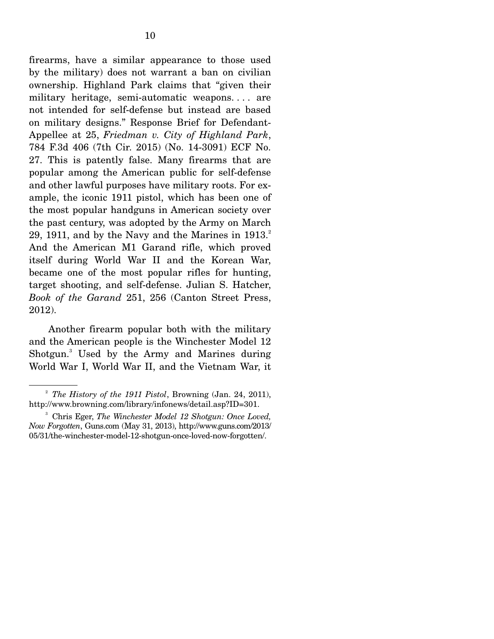firearms, have a similar appearance to those used by the military) does not warrant a ban on civilian ownership. Highland Park claims that "given their military heritage, semi-automatic weapons. . . . are not intended for self-defense but instead are based on military designs." Response Brief for Defendant-Appellee at 25, *Friedman v. City of Highland Park*, 784 F.3d 406 (7th Cir. 2015) (No. 14-3091) ECF No. 27. This is patently false. Many firearms that are popular among the American public for self-defense and other lawful purposes have military roots. For example, the iconic 1911 pistol, which has been one of the most popular handguns in American society over the past century, was adopted by the Army on March 29, 1911, and by the Navy and the Marines in  $1913.<sup>2</sup>$ And the American M1 Garand rifle, which proved itself during World War II and the Korean War, became one of the most popular rifles for hunting, target shooting, and self-defense. Julian S. Hatcher, *Book of the Garand* 251, 256 (Canton Street Press, 2012).

 Another firearm popular both with the military and the American people is the Winchester Model 12 Shotgun.<sup>3</sup> Used by the Army and Marines during World War I, World War II, and the Vietnam War, it

<sup>2</sup> *The History of the 1911 Pistol*, Browning (Jan. 24, 2011), http://www.browning.com/library/infonews/detail.asp?ID=301.

<sup>3</sup> Chris Eger, *The Winchester Model 12 Shotgun: Once Loved, Now Forgotten*, Guns.com (May 31, 2013), http://www.guns.com/2013/ 05/31/the-winchester-model-12-shotgun-once-loved-now-forgotten/.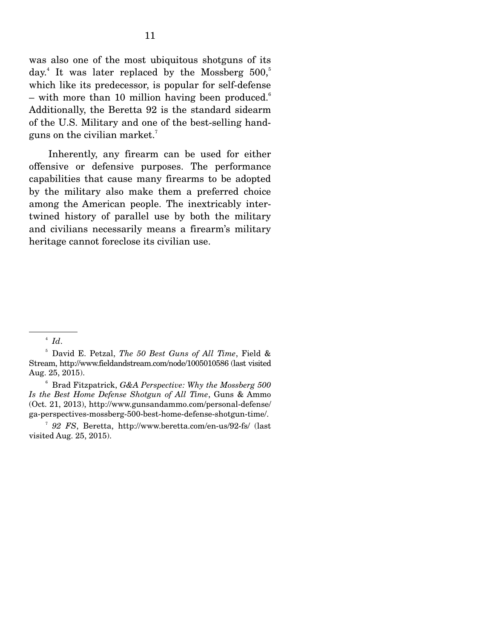was also one of the most ubiquitous shotguns of its day.<sup>4</sup> It was later replaced by the Mossberg  $500,$ <sup>5</sup> which like its predecessor, is popular for self-defense – with more than 10 million having been produced.<sup>6</sup> Additionally, the Beretta 92 is the standard sidearm of the U.S. Military and one of the best-selling handguns on the civilian market.7

 Inherently, any firearm can be used for either offensive or defensive purposes. The performance capabilities that cause many firearms to be adopted by the military also make them a preferred choice among the American people. The inextricably intertwined history of parallel use by both the military and civilians necessarily means a firearm's military heritage cannot foreclose its civilian use.

6 Brad Fitzpatrick, *G&A Perspective: Why the Mossberg 500 Is the Best Home Defense Shotgun of All Time*, Guns & Ammo (Oct. 21, 2013), http://www.gunsandammo.com/personal-defense/ ga-perspectives-mossberg-500-best-home-defense-shotgun-time/.

<sup>7</sup> *92 FS*, Beretta, http://www.beretta.com/en-us/92-fs/ (last visited Aug. 25, 2015).

<sup>4</sup> *Id*.

<sup>5</sup> David E. Petzal, *The 50 Best Guns of All Time*, Field & Stream, http://www.fieldandstream.com/node/1005010586 (last visited Aug. 25, 2015).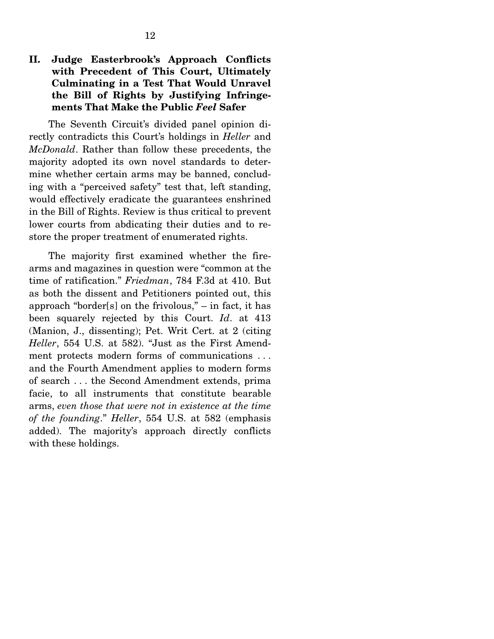### **II. Judge Easterbrook's Approach Conflicts with Precedent of This Court, Ultimately Culminating in a Test That Would Unravel the Bill of Rights by Justifying Infringements That Make the Public** *Feel* **Safer**

 The Seventh Circuit's divided panel opinion directly contradicts this Court's holdings in *Heller* and *McDonald*. Rather than follow these precedents, the majority adopted its own novel standards to determine whether certain arms may be banned, concluding with a "perceived safety" test that, left standing, would effectively eradicate the guarantees enshrined in the Bill of Rights. Review is thus critical to prevent lower courts from abdicating their duties and to restore the proper treatment of enumerated rights.

 The majority first examined whether the firearms and magazines in question were "common at the time of ratification." *Friedman*, 784 F.3d at 410. But as both the dissent and Petitioners pointed out, this approach "border[s] on the frivolous," – in fact, it has been squarely rejected by this Court. *Id*. at 413 (Manion, J., dissenting); Pet. Writ Cert. at 2 (citing *Heller*, 554 U.S. at 582). "Just as the First Amendment protects modern forms of communications . . . and the Fourth Amendment applies to modern forms of search . . . the Second Amendment extends, prima facie, to all instruments that constitute bearable arms, *even those that were not in existence at the time of the founding*." *Heller*, 554 U.S. at 582 (emphasis added). The majority's approach directly conflicts with these holdings.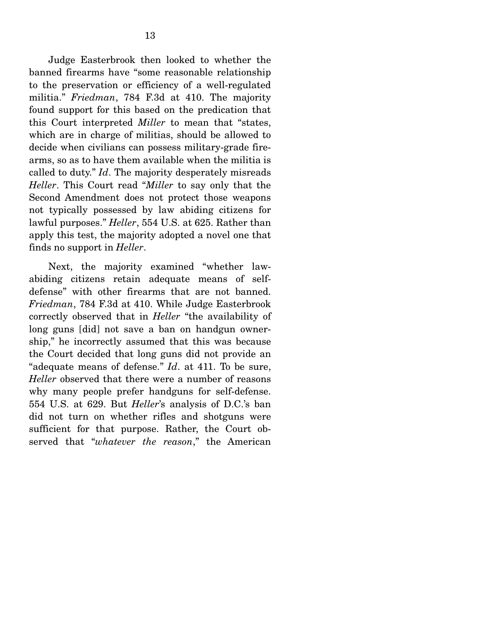Judge Easterbrook then looked to whether the banned firearms have "some reasonable relationship to the preservation or efficiency of a well-regulated militia." *Friedman*, 784 F.3d at 410. The majority found support for this based on the predication that this Court interpreted *Miller* to mean that "states, which are in charge of militias, should be allowed to decide when civilians can possess military-grade firearms, so as to have them available when the militia is called to duty." *Id*. The majority desperately misreads *Heller*. This Court read "*Miller* to say only that the Second Amendment does not protect those weapons not typically possessed by law abiding citizens for lawful purposes." *Heller*, 554 U.S. at 625. Rather than apply this test, the majority adopted a novel one that finds no support in *Heller*.

 Next, the majority examined "whether lawabiding citizens retain adequate means of selfdefense" with other firearms that are not banned. *Friedman*, 784 F.3d at 410. While Judge Easterbrook correctly observed that in *Heller* "the availability of long guns [did] not save a ban on handgun ownership," he incorrectly assumed that this was because the Court decided that long guns did not provide an "adequate means of defense." *Id*. at 411. To be sure, *Heller* observed that there were a number of reasons why many people prefer handguns for self-defense. 554 U.S. at 629. But *Heller*'s analysis of D.C.'s ban did not turn on whether rifles and shotguns were sufficient for that purpose. Rather, the Court observed that "*whatever the reason*," the American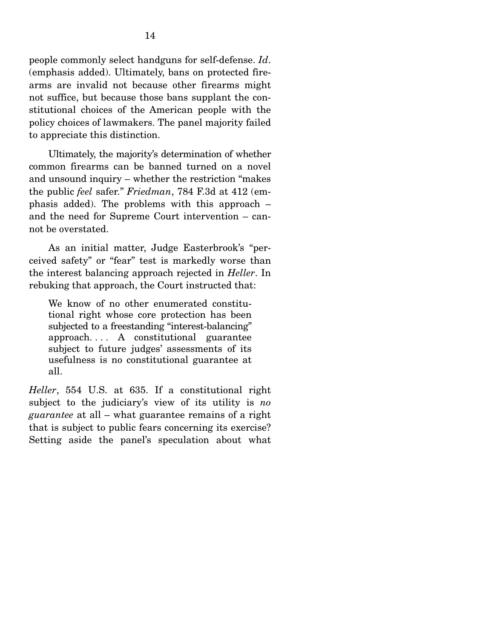people commonly select handguns for self-defense. *Id*. (emphasis added). Ultimately, bans on protected firearms are invalid not because other firearms might not suffice, but because those bans supplant the constitutional choices of the American people with the policy choices of lawmakers. The panel majority failed to appreciate this distinction.

 Ultimately, the majority's determination of whether common firearms can be banned turned on a novel and unsound inquiry – whether the restriction "makes the public *feel* safer." *Friedman*, 784 F.3d at 412 (emphasis added). The problems with this approach – and the need for Supreme Court intervention – cannot be overstated.

 As an initial matter, Judge Easterbrook's "perceived safety" or "fear" test is markedly worse than the interest balancing approach rejected in *Heller*. In rebuking that approach, the Court instructed that:

We know of no other enumerated constitutional right whose core protection has been subjected to a freestanding "interest-balancing" approach. . . . A constitutional guarantee subject to future judges' assessments of its usefulness is no constitutional guarantee at all.

*Heller*, 554 U.S. at 635. If a constitutional right subject to the judiciary's view of its utility is *no guarantee* at all – what guarantee remains of a right that is subject to public fears concerning its exercise? Setting aside the panel's speculation about what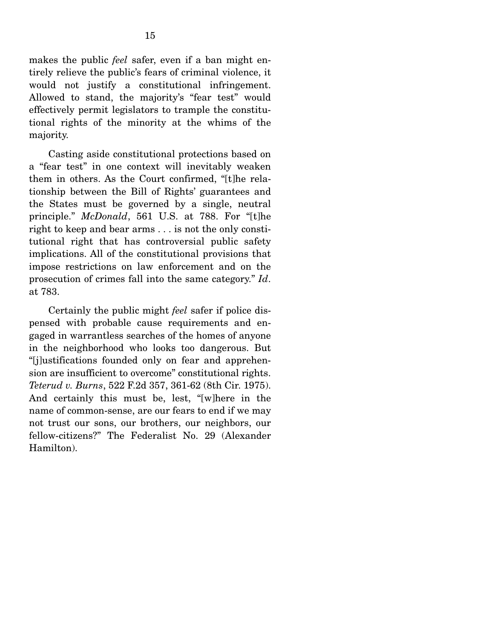makes the public *feel* safer, even if a ban might entirely relieve the public's fears of criminal violence, it would not justify a constitutional infringement. Allowed to stand, the majority's "fear test" would effectively permit legislators to trample the constitutional rights of the minority at the whims of the majority.

 Casting aside constitutional protections based on a "fear test" in one context will inevitably weaken them in others. As the Court confirmed, "[t]he relationship between the Bill of Rights' guarantees and the States must be governed by a single, neutral principle." *McDonald*, 561 U.S. at 788. For "[t]he right to keep and bear arms . . . is not the only constitutional right that has controversial public safety implications. All of the constitutional provisions that impose restrictions on law enforcement and on the prosecution of crimes fall into the same category." *Id*. at 783.

 Certainly the public might *feel* safer if police dispensed with probable cause requirements and engaged in warrantless searches of the homes of anyone in the neighborhood who looks too dangerous. But "[j]ustifications founded only on fear and apprehension are insufficient to overcome" constitutional rights. *Teterud v. Burns*, 522 F.2d 357, 361-62 (8th Cir. 1975). And certainly this must be, lest, "[w]here in the name of common-sense, are our fears to end if we may not trust our sons, our brothers, our neighbors, our fellow-citizens?" The Federalist No. 29 (Alexander Hamilton).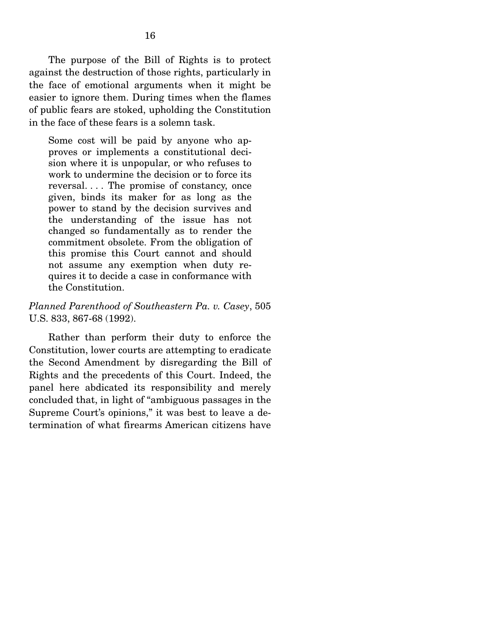The purpose of the Bill of Rights is to protect against the destruction of those rights, particularly in the face of emotional arguments when it might be easier to ignore them. During times when the flames of public fears are stoked, upholding the Constitution in the face of these fears is a solemn task.

Some cost will be paid by anyone who approves or implements a constitutional decision where it is unpopular, or who refuses to work to undermine the decision or to force its reversal. . . . The promise of constancy, once given, binds its maker for as long as the power to stand by the decision survives and the understanding of the issue has not changed so fundamentally as to render the commitment obsolete. From the obligation of this promise this Court cannot and should not assume any exemption when duty requires it to decide a case in conformance with the Constitution.

#### *Planned Parenthood of Southeastern Pa. v. Casey*, 505 U.S. 833, 867-68 (1992).

 Rather than perform their duty to enforce the Constitution, lower courts are attempting to eradicate the Second Amendment by disregarding the Bill of Rights and the precedents of this Court. Indeed, the panel here abdicated its responsibility and merely concluded that, in light of "ambiguous passages in the Supreme Court's opinions," it was best to leave a determination of what firearms American citizens have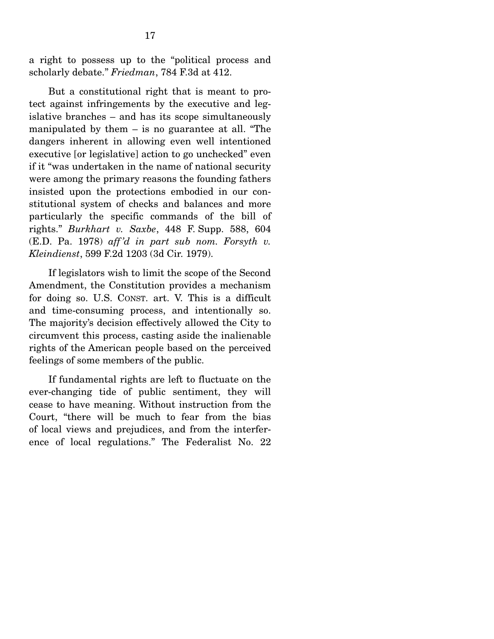a right to possess up to the "political process and scholarly debate." *Friedman*, 784 F.3d at 412.

 But a constitutional right that is meant to protect against infringements by the executive and legislative branches – and has its scope simultaneously manipulated by them  $-$  is no guarantee at all. "The dangers inherent in allowing even well intentioned executive [or legislative] action to go unchecked" even if it "was undertaken in the name of national security were among the primary reasons the founding fathers insisted upon the protections embodied in our constitutional system of checks and balances and more particularly the specific commands of the bill of rights." *Burkhart v. Saxbe*, 448 F. Supp. 588, 604 (E.D. Pa. 1978) *aff 'd in part sub nom. Forsyth v. Kleindienst*, 599 F.2d 1203 (3d Cir. 1979).

 If legislators wish to limit the scope of the Second Amendment, the Constitution provides a mechanism for doing so. U.S. CONST. art. V. This is a difficult and time-consuming process, and intentionally so. The majority's decision effectively allowed the City to circumvent this process, casting aside the inalienable rights of the American people based on the perceived feelings of some members of the public.

 If fundamental rights are left to fluctuate on the ever-changing tide of public sentiment, they will cease to have meaning. Without instruction from the Court, "there will be much to fear from the bias of local views and prejudices, and from the interference of local regulations." The Federalist No. 22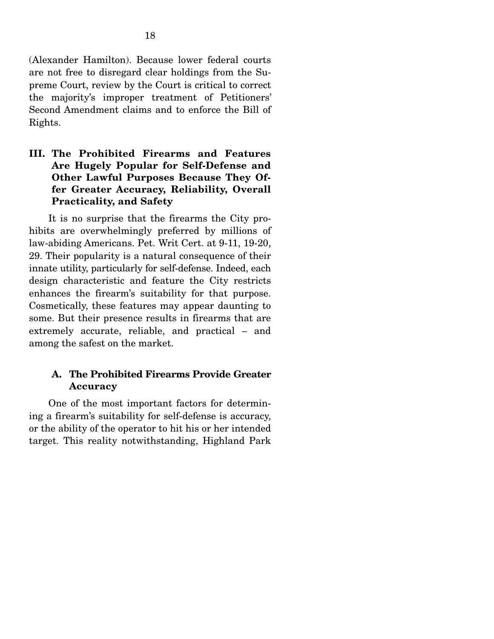(Alexander Hamilton). Because lower federal courts are not free to disregard clear holdings from the Supreme Court, review by the Court is critical to correct the majority's improper treatment of Petitioners' Second Amendment claims and to enforce the Bill of Rights.

### **III. The Prohibited Firearms and Features Are Hugely Popular for Self-Defense and Other Lawful Purposes Because They Offer Greater Accuracy, Reliability, Overall Practicality, and Safety**

 It is no surprise that the firearms the City prohibits are overwhelmingly preferred by millions of law-abiding Americans. Pet. Writ Cert. at 9-11, 19-20, 29. Their popularity is a natural consequence of their innate utility, particularly for self-defense. Indeed, each design characteristic and feature the City restricts enhances the firearm's suitability for that purpose. Cosmetically, these features may appear daunting to some. But their presence results in firearms that are extremely accurate, reliable, and practical – and among the safest on the market.

#### **A. The Prohibited Firearms Provide Greater Accuracy**

 One of the most important factors for determining a firearm's suitability for self-defense is accuracy, or the ability of the operator to hit his or her intended target. This reality notwithstanding, Highland Park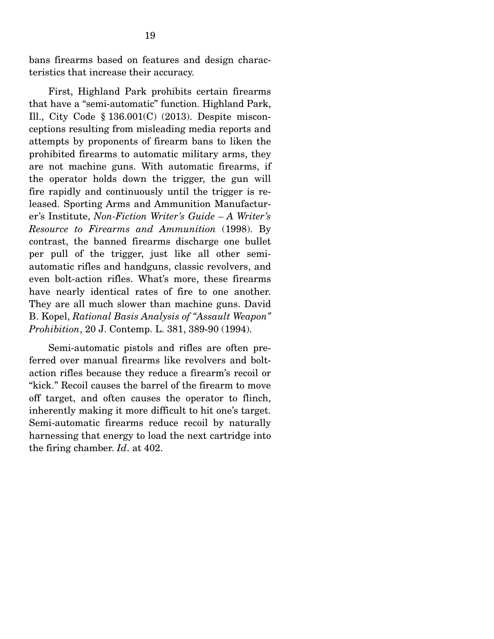bans firearms based on features and design characteristics that increase their accuracy.

 First, Highland Park prohibits certain firearms that have a "semi-automatic" function. Highland Park, Ill., City Code § 136.001(C) (2013). Despite misconceptions resulting from misleading media reports and attempts by proponents of firearm bans to liken the prohibited firearms to automatic military arms, they are not machine guns. With automatic firearms, if the operator holds down the trigger, the gun will fire rapidly and continuously until the trigger is released. Sporting Arms and Ammunition Manufacturer's Institute, *Non-Fiction Writer's Guide – A Writer's Resource to Firearms and Ammunition* (1998). By contrast, the banned firearms discharge one bullet per pull of the trigger, just like all other semiautomatic rifles and handguns, classic revolvers, and even bolt-action rifles. What's more, these firearms have nearly identical rates of fire to one another. They are all much slower than machine guns. David B. Kopel, *Rational Basis Analysis of "Assault Weapon" Prohibition*, 20 J. Contemp. L. 381, 389-90 (1994).

 Semi-automatic pistols and rifles are often preferred over manual firearms like revolvers and boltaction rifles because they reduce a firearm's recoil or "kick." Recoil causes the barrel of the firearm to move off target, and often causes the operator to flinch, inherently making it more difficult to hit one's target. Semi-automatic firearms reduce recoil by naturally harnessing that energy to load the next cartridge into the firing chamber. *Id*. at 402.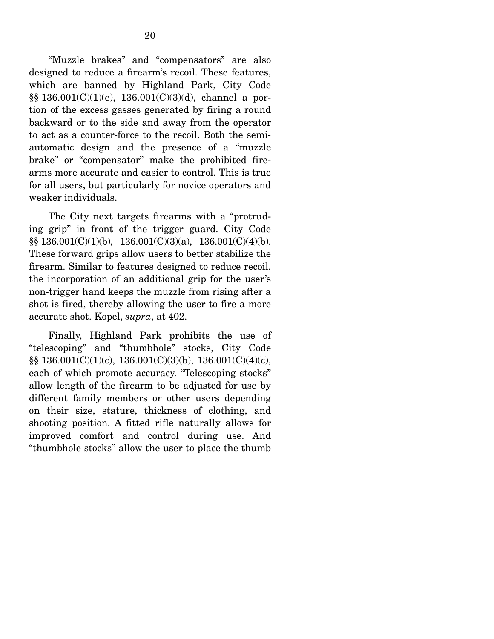"Muzzle brakes" and "compensators" are also designed to reduce a firearm's recoil. These features, which are banned by Highland Park, City Code §§ 136.001(C)(1)(e), 136.001(C)(3)(d), channel a portion of the excess gasses generated by firing a round backward or to the side and away from the operator to act as a counter-force to the recoil. Both the semiautomatic design and the presence of a "muzzle brake" or "compensator" make the prohibited firearms more accurate and easier to control. This is true for all users, but particularly for novice operators and weaker individuals.

 The City next targets firearms with a "protruding grip" in front of the trigger guard. City Code  $\S$ § 136.001(C)(1)(b), 136.001(C)(3)(a), 136.001(C)(4)(b). These forward grips allow users to better stabilize the firearm. Similar to features designed to reduce recoil, the incorporation of an additional grip for the user's non-trigger hand keeps the muzzle from rising after a shot is fired, thereby allowing the user to fire a more accurate shot. Kopel, *supra*, at 402.

 Finally, Highland Park prohibits the use of "telescoping" and "thumbhole" stocks, City Code §§ 136.001(C)(1)(c), 136.001(C)(3)(b), 136.001(C)(4)(c), each of which promote accuracy. "Telescoping stocks" allow length of the firearm to be adjusted for use by different family members or other users depending on their size, stature, thickness of clothing, and shooting position. A fitted rifle naturally allows for improved comfort and control during use. And "thumbhole stocks" allow the user to place the thumb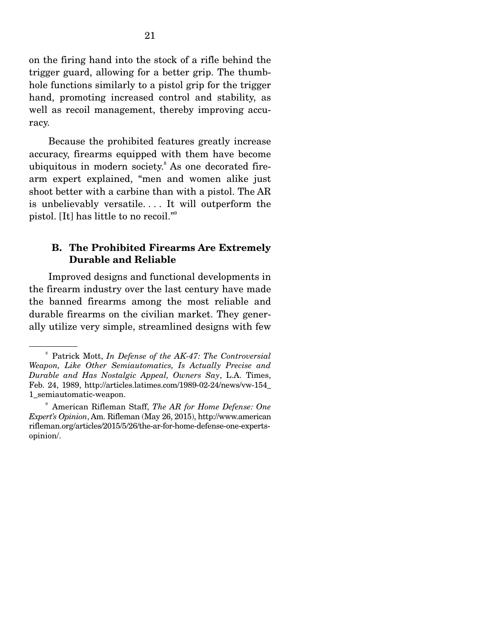on the firing hand into the stock of a rifle behind the trigger guard, allowing for a better grip. The thumbhole functions similarly to a pistol grip for the trigger hand, promoting increased control and stability, as well as recoil management, thereby improving accuracy.

 Because the prohibited features greatly increase accuracy, firearms equipped with them have become ubiquitous in modern society.<sup>8</sup> As one decorated firearm expert explained, "men and women alike just shoot better with a carbine than with a pistol. The AR is unbelievably versatile. . . . It will outperform the pistol. [It] has little to no recoil."9

#### **B. The Prohibited Firearms Are Extremely Durable and Reliable**

 Improved designs and functional developments in the firearm industry over the last century have made the banned firearms among the most reliable and durable firearms on the civilian market. They generally utilize very simple, streamlined designs with few

<sup>8</sup> Patrick Mott, *In Defense of the AK-47: The Controversial Weapon, Like Other Semiautomatics, Is Actually Precise and Durable and Has Nostalgic Appeal, Owners Say*, L.A. Times, Feb. 24, 1989, http://articles.latimes.com/1989-02-24/news/vw-154\_ 1\_semiautomatic-weapon.

<sup>9</sup> American Rifleman Staff, *The AR for Home Defense: One Expert's Opinion*, Am. Rifleman (May 26, 2015), http://www.american rifleman.org/articles/2015/5/26/the-ar-for-home-defense-one-expertsopinion/.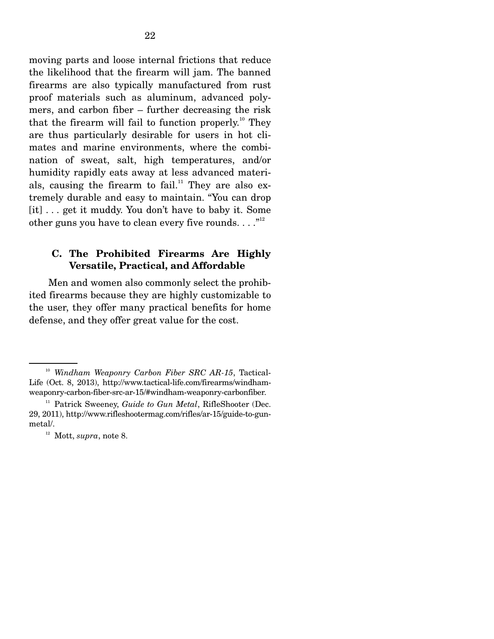moving parts and loose internal frictions that reduce the likelihood that the firearm will jam. The banned firearms are also typically manufactured from rust proof materials such as aluminum, advanced polymers, and carbon fiber – further decreasing the risk that the firearm will fail to function properly.<sup>10</sup> They are thus particularly desirable for users in hot climates and marine environments, where the combination of sweat, salt, high temperatures, and/or humidity rapidly eats away at less advanced materials, causing the firearm to fail.<sup>11</sup> They are also extremely durable and easy to maintain. "You can drop [it] . . . get it muddy. You don't have to baby it. Some other guns you have to clean every five rounds.  $\dots$ ."<sup>12</sup>

#### **C. The Prohibited Firearms Are Highly Versatile, Practical, and Affordable**

 Men and women also commonly select the prohibited firearms because they are highly customizable to the user, they offer many practical benefits for home defense, and they offer great value for the cost.

<sup>10</sup> *Windham Weaponry Carbon Fiber SRC AR-15*, Tactical-Life (Oct. 8, 2013), http://www.tactical-life.com/firearms/windhamweaponry-carbon-fiber-src-ar-15/#windham-weaponry-carbonfiber.

<sup>&</sup>lt;sup>11</sup> Patrick Sweeney, *Guide to Gun Metal*, RifleShooter (Dec. 29, 2011), http://www.rifleshootermag.com/rifles/ar-15/guide-to-gunmetal/.

<sup>&</sup>lt;sup>12</sup> Mott, *supra*, note 8.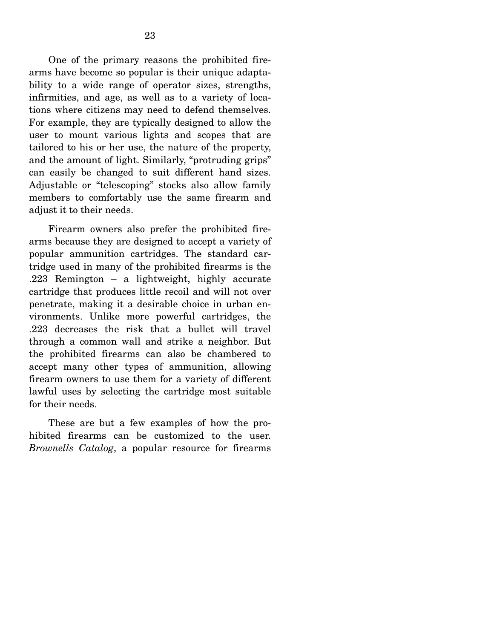One of the primary reasons the prohibited firearms have become so popular is their unique adaptability to a wide range of operator sizes, strengths, infirmities, and age, as well as to a variety of locations where citizens may need to defend themselves. For example, they are typically designed to allow the user to mount various lights and scopes that are tailored to his or her use, the nature of the property, and the amount of light. Similarly, "protruding grips" can easily be changed to suit different hand sizes. Adjustable or "telescoping" stocks also allow family members to comfortably use the same firearm and adjust it to their needs.

 Firearm owners also prefer the prohibited firearms because they are designed to accept a variety of popular ammunition cartridges. The standard cartridge used in many of the prohibited firearms is the .223 Remington – a lightweight, highly accurate cartridge that produces little recoil and will not over penetrate, making it a desirable choice in urban environments. Unlike more powerful cartridges, the .223 decreases the risk that a bullet will travel through a common wall and strike a neighbor. But the prohibited firearms can also be chambered to accept many other types of ammunition, allowing firearm owners to use them for a variety of different lawful uses by selecting the cartridge most suitable for their needs.

 These are but a few examples of how the prohibited firearms can be customized to the user. *Brownells Catalog*, a popular resource for firearms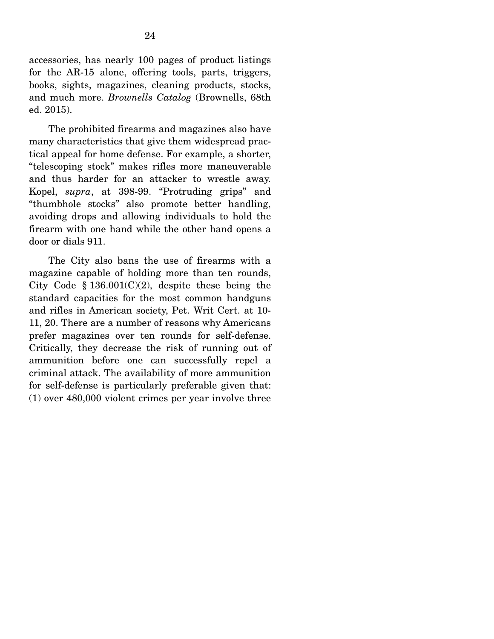accessories, has nearly 100 pages of product listings for the AR-15 alone, offering tools, parts, triggers, books, sights, magazines, cleaning products, stocks, and much more. *Brownells Catalog* (Brownells, 68th ed. 2015).

 The prohibited firearms and magazines also have many characteristics that give them widespread practical appeal for home defense. For example, a shorter, "telescoping stock" makes rifles more maneuverable and thus harder for an attacker to wrestle away. Kopel, *supra*, at 398-99. "Protruding grips" and "thumbhole stocks" also promote better handling, avoiding drops and allowing individuals to hold the firearm with one hand while the other hand opens a door or dials 911.

 The City also bans the use of firearms with a magazine capable of holding more than ten rounds, City Code  $$136.001(C)(2)$ , despite these being the standard capacities for the most common handguns and rifles in American society, Pet. Writ Cert. at 10- 11, 20. There are a number of reasons why Americans prefer magazines over ten rounds for self-defense. Critically, they decrease the risk of running out of ammunition before one can successfully repel a criminal attack. The availability of more ammunition for self-defense is particularly preferable given that: (1) over 480,000 violent crimes per year involve three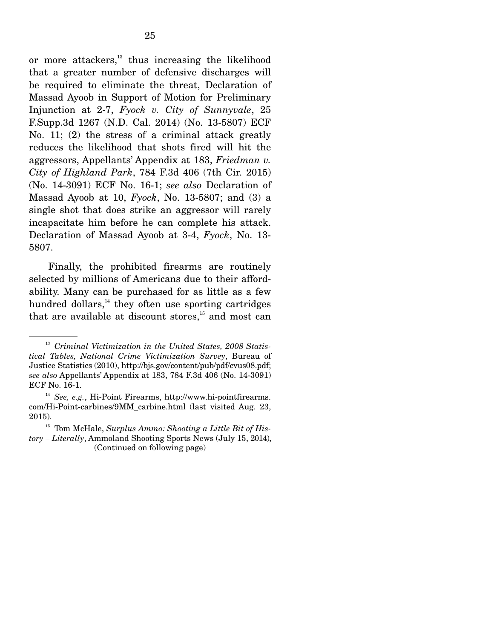or more attackers, $13$  thus increasing the likelihood that a greater number of defensive discharges will be required to eliminate the threat, Declaration of Massad Ayoob in Support of Motion for Preliminary Injunction at 2-7, *Fyock v. City of Sunnyvale*, 25 F.Supp.3d 1267 (N.D. Cal. 2014) (No. 13-5807) ECF No. 11; (2) the stress of a criminal attack greatly reduces the likelihood that shots fired will hit the aggressors, Appellants' Appendix at 183, *Friedman v. City of Highland Park*, 784 F.3d 406 (7th Cir. 2015) (No. 14-3091) ECF No. 16-1; *see also* Declaration of Massad Ayoob at 10, *Fyock*, No. 13-5807; and (3) a single shot that does strike an aggressor will rarely incapacitate him before he can complete his attack. Declaration of Massad Ayoob at 3-4, *Fyock*, No. 13- 5807.

 Finally, the prohibited firearms are routinely selected by millions of Americans due to their affordability. Many can be purchased for as little as a few hundred dollars, $^{14}$  they often use sporting cartridges that are available at discount stores, $15$  and most can

<sup>&</sup>lt;sup>13</sup> Criminal Victimization in the United States, 2008 Statis*tical Tables, National Crime Victimization Survey*, Bureau of Justice Statistics (2010), http://bjs.gov/content/pub/pdf/cvus08.pdf; *see also* Appellants' Appendix at 183, 784 F.3d 406 (No. 14-3091) ECF No. 16-1.

<sup>14</sup> *See, e.g.*, Hi-Point Firearms, http://www.hi-pointfirearms. com/Hi-Point-carbines/9MM\_carbine.html (last visited Aug. 23, 2015).

<sup>&</sup>lt;sup>15</sup> Tom McHale, *Surplus Ammo: Shooting a Little Bit of History – Literally*, Ammoland Shooting Sports News (July 15, 2014), (Continued on following page)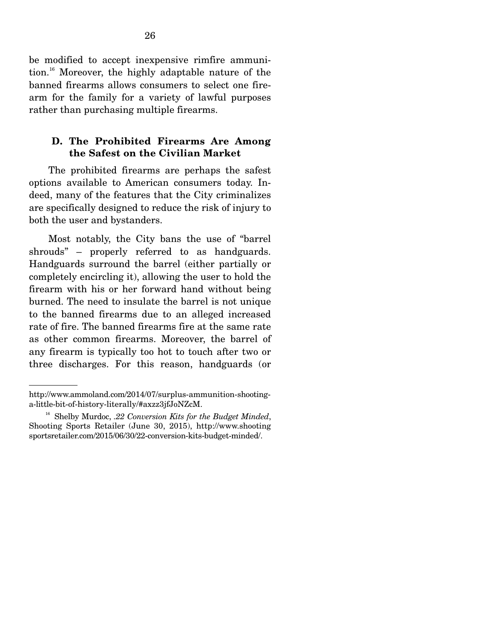be modified to accept inexpensive rimfire ammunition.16 Moreover, the highly adaptable nature of the banned firearms allows consumers to select one firearm for the family for a variety of lawful purposes rather than purchasing multiple firearms.

#### **D. The Prohibited Firearms Are Among the Safest on the Civilian Market**

 The prohibited firearms are perhaps the safest options available to American consumers today. Indeed, many of the features that the City criminalizes are specifically designed to reduce the risk of injury to both the user and bystanders.

 Most notably, the City bans the use of "barrel shrouds" – properly referred to as handguards. Handguards surround the barrel (either partially or completely encircling it), allowing the user to hold the firearm with his or her forward hand without being burned. The need to insulate the barrel is not unique to the banned firearms due to an alleged increased rate of fire. The banned firearms fire at the same rate as other common firearms. Moreover, the barrel of any firearm is typically too hot to touch after two or three discharges. For this reason, handguards (or

http://www.ammoland.com/2014/07/surplus-ammunition-shootinga-little-bit-of-history-literally/#axzz3jfJoNZcM.

<sup>16</sup> Shelby Murdoc, *.22 Conversion Kits for the Budget Minded*, Shooting Sports Retailer (June 30, 2015), http://www.shooting sportsretailer.com/2015/06/30/22-conversion-kits-budget-minded/.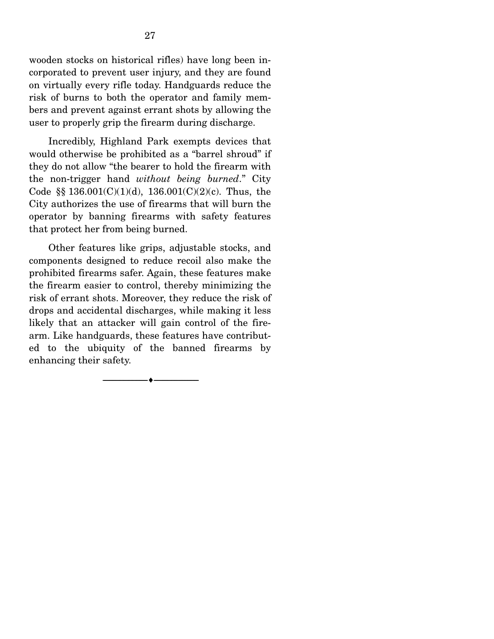wooden stocks on historical rifles) have long been incorporated to prevent user injury, and they are found on virtually every rifle today. Handguards reduce the risk of burns to both the operator and family members and prevent against errant shots by allowing the user to properly grip the firearm during discharge.

 Incredibly, Highland Park exempts devices that would otherwise be prohibited as a "barrel shroud" if they do not allow "the bearer to hold the firearm with the non-trigger hand *without being burned*." City Code §§  $136.001(C)(1)(d)$ ,  $136.001(C)(2)(c)$ . Thus, the City authorizes the use of firearms that will burn the operator by banning firearms with safety features that protect her from being burned.

 Other features like grips, adjustable stocks, and components designed to reduce recoil also make the prohibited firearms safer. Again, these features make the firearm easier to control, thereby minimizing the risk of errant shots. Moreover, they reduce the risk of drops and accidental discharges, while making it less likely that an attacker will gain control of the firearm. Like handguards, these features have contributed to the ubiquity of the banned firearms by enhancing their safety.

--------------------------------- ---------------------------------